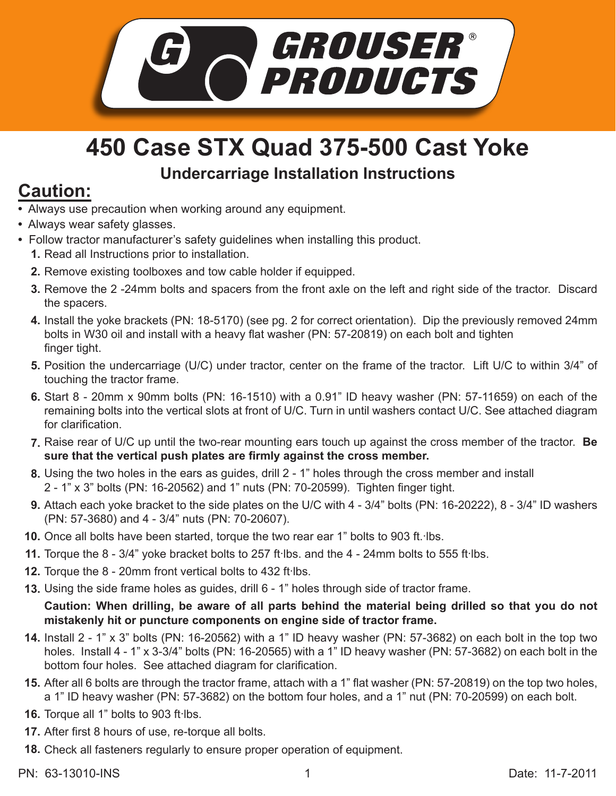

## **450 Case STX Quad 375-500 Cast Yoke Undercarriage Installation Instructions**

## **Caution:**

- Always use precaution when working around any equipment.
- Always wear safety glasses.
- Follow tractor manufacturer's safety guidelines when installing this product.
	- **1.** Read all Instructions prior to installation.
	- **2.** Remove existing toolboxes and tow cable holder if equipped.
	- **3.** Remove the 2-24mm bolts and spacers from the front axle on the left and right side of the tractor. Discard the spacers.
	- 4. Install the yoke brackets (PN: 18-5170) (see pg. 2 for correct orientation). Dip the previously removed 24mm bolts in W30 oil and install with a heavy flat washer (PN: 57-20819) on each bolt and tighten finger tight.
	- **5.** Position the undercarriage (U/C) under tractor, center on the frame of the tractor. Lift U/C to within 3/4" of touching the tractor frame.
	- Start 8 20mm x 90mm bolts (PN: 16-1510) with a 0.91" ID heavy washer (PN: 57-11659) on each of the **6.** remaining bolts into the vertical slots at front of U/C. Turn in until washers contact U/C. See attached diagram for clarification.
	- Raise rear of U/C up until the two-rear mounting ears touch up against the cross member of the tractor. **Be 7. sure that the vertical push plates are firmly against the cross member.**
	- Using the two holes in the ears as guides, drill 2 1" holes through the cross member and install **8.** 2 - 1" x 3" bolts (PN: 16-20562) and 1" nuts (PN: 70-20599). Tighten finger tight.
	- Attach each yoke bracket to the side plates on the U/C with 4 3/4" bolts (PN: 16-20222), 8 3/4" ID washers **9.** (PN: 57-3680) and 4 - 3/4" nuts (PN: 70-20607).
	- 10. Once all bolts have been started, torque the two rear ear 1" bolts to 903 ft. Ibs.
	- 11. Torque the 8 3/4" yoke bracket bolts to 257 ft lbs. and the 4 24mm bolts to 555 ft lbs.
	- 12. Torque the 8 20mm front vertical bolts to 432 ft·lbs.
	- Using the side frame holes as guides, drill 6 1" holes through side of tractor frame. **13.**

**Caution: When drilling, be aware of all parts behind the material being drilled so that you do not mistakenly hit or puncture components on engine side of tractor frame.**

- **14.** Install 2 1" x 3" bolts (PN: 16-20562) with a 1" ID heavy washer (PN: 57-3682) on each bolt in the top two holes. Install 4 - 1" x 3-3/4" bolts (PN: 16-20565) with a 1" ID heavy washer (PN: 57-3682) on each bolt in the bottom four holes. See attached diagram for clarification.
- **15.** After all 6 bolts are through the tractor frame, attach with a 1" flat washer (PN: 57-20819) on the top two holes, a 1" ID heavy washer (PN: 57-3682) on the bottom four holes, and a 1" nut (PN: 70-20599) on each bolt.
- 16. Torque all 1" bolts to 903 ft·lbs.
- After first 8 hours of use, re-torque all bolts. **17.**
- 18. Check all fasteners regularly to ensure proper operation of equipment.